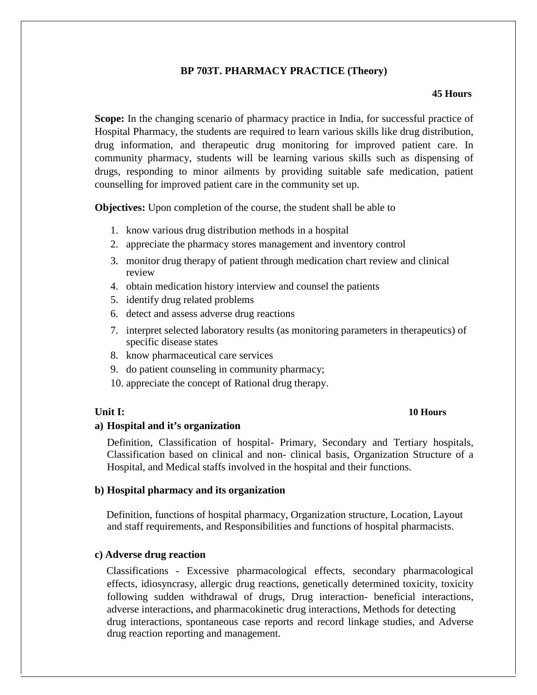# **BP 703T. PHARMACY PRACTICE (Theory)**

### **45 Hours**

**Scope:** In the changing scenario of pharmacy practice in India, for successful practice of Hospital Pharmacy, the students are required to learn various skills like drug distribution, drug information, and therapeutic drug monitoring for improved patient care. In community pharmacy, students will be learning various skills such as dispensing of drugs, responding to minor ailments by providing suitable safe medication, patient counselling for improved patient care in the community set up.

**Objectives:** Upon completion of the course, the student shall be able to

- 1. know various drug distribution methods in a hospital
- 2. appreciate the pharmacy stores management and inventory control
- 3. monitor drug therapy of patient through medication chart review and clinical review
- 4. obtain medication history interview and counsel the patients
- 5. identify drug related problems
- 6. detect and assess adverse drug reactions
- 7. interpret selected laboratory results (as monitoring parameters in therapeutics) of specific disease states
- 8. know pharmaceutical care services
- 9. do patient counseling in community pharmacy;
- 10. appreciate the concept of Rational drug therapy.

# **Unit I: 10 Hours**

## **a) Hospital and it's organization**

Definition, Classification of hospital- Primary, Secondary and Tertiary hospitals, Classification based on clinical and non- clinical basis, Organization Structure of a Hospital, and Medical staffs involved in the hospital and their functions.

## **b) Hospital pharmacy and its organization**

Definition, functions of hospital pharmacy, Organization structure, Location, Layout and staff requirements, and Responsibilities and functions of hospital pharmacists.

# **c) Adverse drug reaction**

Classifications - Excessive pharmacological effects, secondary pharmacological effects, idiosyncrasy, allergic drug reactions, genetically determined toxicity, toxicity following sudden withdrawal of drugs, Drug interaction- beneficial interactions, adverse interactions, and pharmacokinetic drug interactions, Methods for detecting drug interactions, spontaneous case reports and record linkage studies, and Adverse drug reaction reporting and management.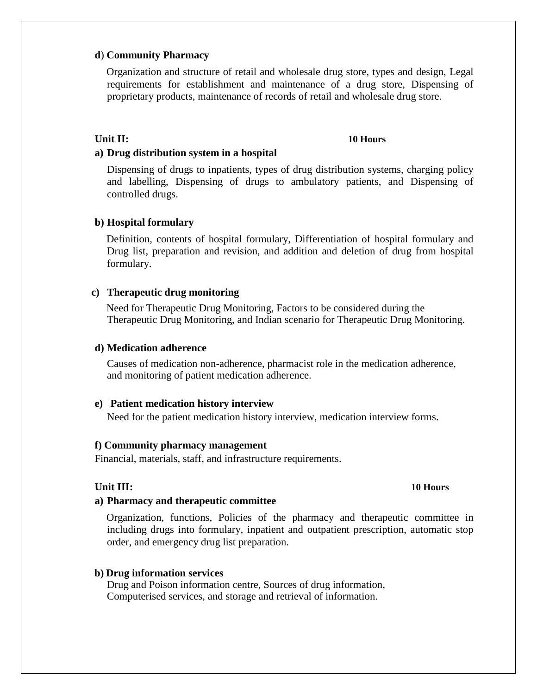## **d**) **Community Pharmacy**

Organization and structure of retail and wholesale drug store, types and design, Legal requirements for establishment and maintenance of a drug store, Dispensing of proprietary products, maintenance of records of retail and wholesale drug store.

### **Unit II: 10 Hours**

### **a) Drug distribution system in a hospital**

Dispensing of drugs to inpatients, types of drug distribution systems, charging policy and labelling, Dispensing of drugs to ambulatory patients, and Dispensing of controlled drugs.

## **b) Hospital formulary**

Definition, contents of hospital formulary, Differentiation of hospital formulary and Drug list, preparation and revision, and addition and deletion of drug from hospital formulary.

### **c) Therapeutic drug monitoring**

Need for Therapeutic Drug Monitoring, Factors to be considered during the Therapeutic Drug Monitoring, and Indian scenario for Therapeutic Drug Monitoring.

## **d) Medication adherence**

Causes of medication non-adherence, pharmacist role in the medication adherence, and monitoring of patient medication adherence.

### **e) Patient medication history interview**

Need for the patient medication history interview, medication interview forms.

### **f) Community pharmacy management**

Financial, materials, staff, and infrastructure requirements.

### **Unit III: 10 Hours**

### **a) Pharmacy and therapeutic committee**

Organization, functions, Policies of the pharmacy and therapeutic committee in including drugs into formulary, inpatient and outpatient prescription, automatic stop order, and emergency drug list preparation.

### **b) Drug information services**

Drug and Poison information centre, Sources of drug information, Computerised services, and storage and retrieval of information.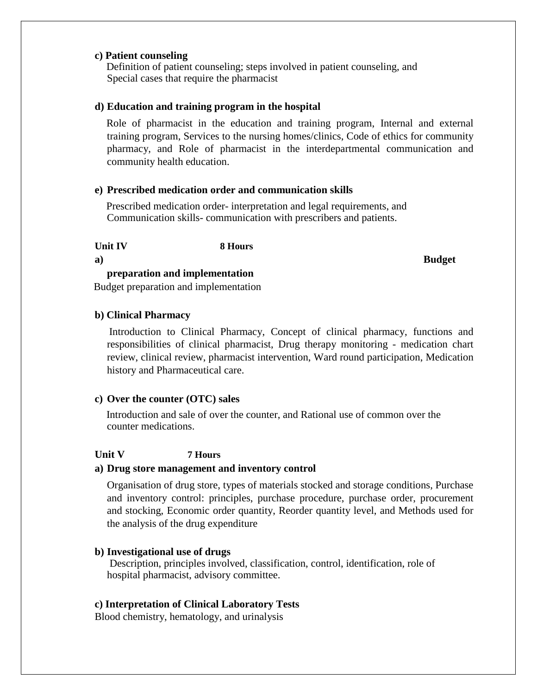## **c) Patient counseling**

Definition of patient counseling; steps involved in patient counseling, and Special cases that require the pharmacist

### **d) Education and training program in the hospital**

Role of pharmacist in the education and training program, Internal and external training program, Services to the nursing homes/clinics, Code of ethics for community pharmacy, and Role of pharmacist in the interdepartmental communication and community health education.

## **e) Prescribed medication order and communication skills**

Prescribed medication order- interpretation and legal requirements, and Communication skills- communication with prescribers and patients.

**Unit IV 8 Hours**

**a) Budget**

**preparation and implementation** Budget preparation and implementation

### **b) Clinical Pharmacy**

Introduction to Clinical Pharmacy, Concept of clinical pharmacy, functions and responsibilities of clinical pharmacist, Drug therapy monitoring - medication chart review, clinical review, pharmacist intervention, Ward round participation, Medication history and Pharmaceutical care.

### **c) Over the counter (OTC) sales**

Introduction and sale of over the counter, and Rational use of common over the counter medications.

## **Unit V 7 Hours**

## **a) Drug store management and inventory control**

Organisation of drug store, types of materials stocked and storage conditions, Purchase and inventory control: principles, purchase procedure, purchase order, procurement and stocking, Economic order quantity, Reorder quantity level, and Methods used for the analysis of the drug expenditure

## **b) Investigational use of drugs**

Description, principles involved, classification, control, identification, role of hospital pharmacist, advisory committee.

### **c) Interpretation of Clinical Laboratory Tests**

Blood chemistry, hematology, and urinalysis